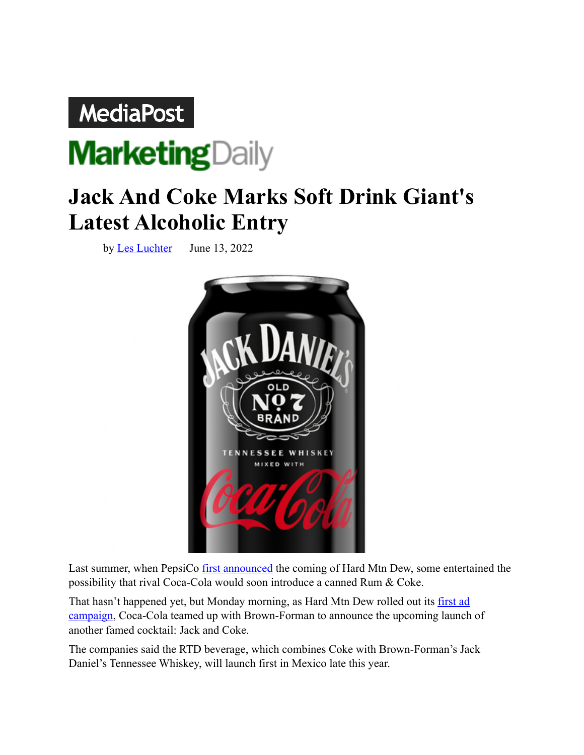## **MediaPost**



## **Jack And Coke Marks Soft Drink Giant's Latest Alcoholic Entry**

by [Les Luchter](https://www.mediapost.com/publications/author/6775/les-luchter/) June 13, 2022



Last summer, when PepsiCo **[first announced](https://www.mediapost.com/publications/article/365861/pepsico-to-enter-hard-seltzer-wars-with-hard-mtn-d.html)** the coming of Hard Mtn Dew, some entertained the possibility that rival Coca-Cola would soon introduce a canned Rum & Coke.

That hasn't happened yet, but Monday morning, as Hard Mtn Dew rolled out its first ad [campaign,](https://www.mediapost.com/publications/article/374713/folks-freak-out-responsibly-for-hard-mtn-dew.html) Coca-Cola teamed up with Brown-Forman to announce the upcoming launch of another famed cocktail: Jack and Coke.

The companies said the RTD beverage, which combines Coke with Brown-Forman's Jack Daniel's Tennessee Whiskey, will launch first in Mexico late this year.